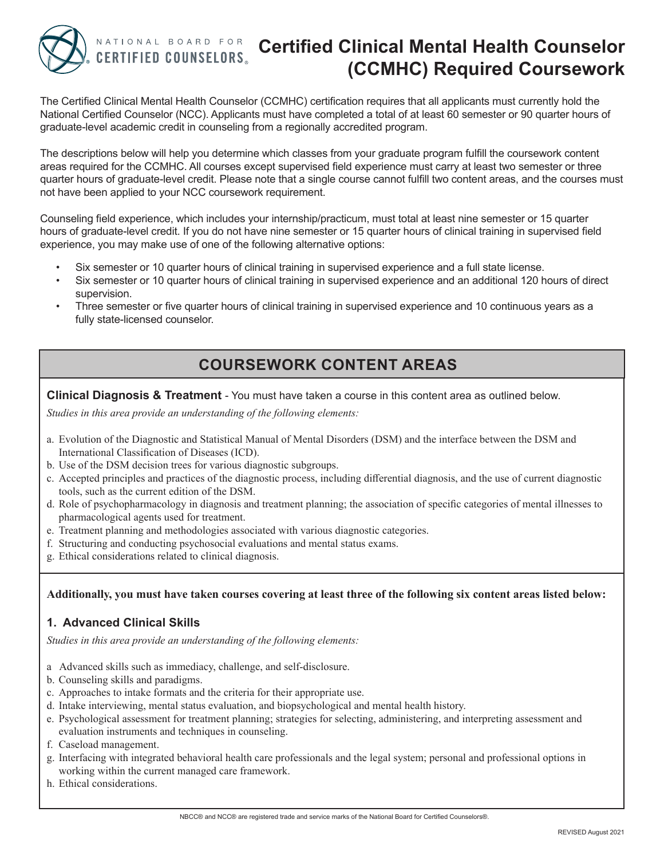

# **CERTIFIED COUNSELORS**

## **NATIONAL BOARD FOR Certified Clinical Mental Health Counselor (CCMHC) Required Coursework**

The Certified Clinical Mental Health Counselor (CCMHC) certification requires that all applicants must currently hold the National Certified Counselor (NCC). Applicants must have completed a total of at least 60 semester or 90 quarter hours of graduate-level academic credit in counseling from a regionally accredited program.

The descriptions below will help you determine which classes from your graduate program fulfill the coursework content areas required for the CCMHC. All courses except supervised field experience must carry at least two semester or three quarter hours of graduate-level credit. Please note that a single course cannot fulfill two content areas, and the courses must not have been applied to your NCC coursework requirement.

Counseling field experience, which includes your internship/practicum, must total at least nine semester or 15 quarter hours of graduate-level credit. If you do not have nine semester or 15 quarter hours of clinical training in supervised field experience, you may make use of one of the following alternative options:

- Six semester or 10 quarter hours of clinical training in supervised experience and a full state license.
- Six semester or 10 quarter hours of clinical training in supervised experience and an additional 120 hours of direct supervision.
- Three semester or five quarter hours of clinical training in supervised experience and 10 continuous years as a fully state-licensed counselor.

### **COURSEWORK CONTENT AREAS**

**Clinical Diagnosis & Treatment** - You must have taken a course in this content area as outlined below.

*Studies in this area provide an understanding of the following elements:*

- a. Evolution of the Diagnostic and Statistical Manual of Mental Disorders (DSM) and the interface between the DSM and International Classification of Diseases (ICD).
- b. Use of the DSM decision trees for various diagnostic subgroups.
- c. Accepted principles and practices of the diagnostic process, including differential diagnosis, and the use of current diagnostic tools, such as the current edition of the DSM.
- d. Role of psychopharmacology in diagnosis and treatment planning; the association of specific categories of mental illnesses to pharmacological agents used for treatment.
- e. Treatment planning and methodologies associated with various diagnostic categories.
- f. Structuring and conducting psychosocial evaluations and mental status exams.
- g. Ethical considerations related to clinical diagnosis.

#### **Additionally, you must have taken courses covering at least three of the following six content areas listed below:**

#### **1. Advanced Clinical Skills**

*Studies in this area provide an understanding of the following elements:*

- a Advanced skills such as immediacy, challenge, and self-disclosure.
- b. Counseling skills and paradigms.
- c. Approaches to intake formats and the criteria for their appropriate use.
- d. Intake interviewing, mental status evaluation, and biopsychological and mental health history.
- e. Psychological assessment for treatment planning; strategies for selecting, administering, and interpreting assessment and evaluation instruments and techniques in counseling.
- f. Caseload management.
- g. Interfacing with integrated behavioral health care professionals and the legal system; personal and professional options in working within the current managed care framework.
- h. Ethical considerations.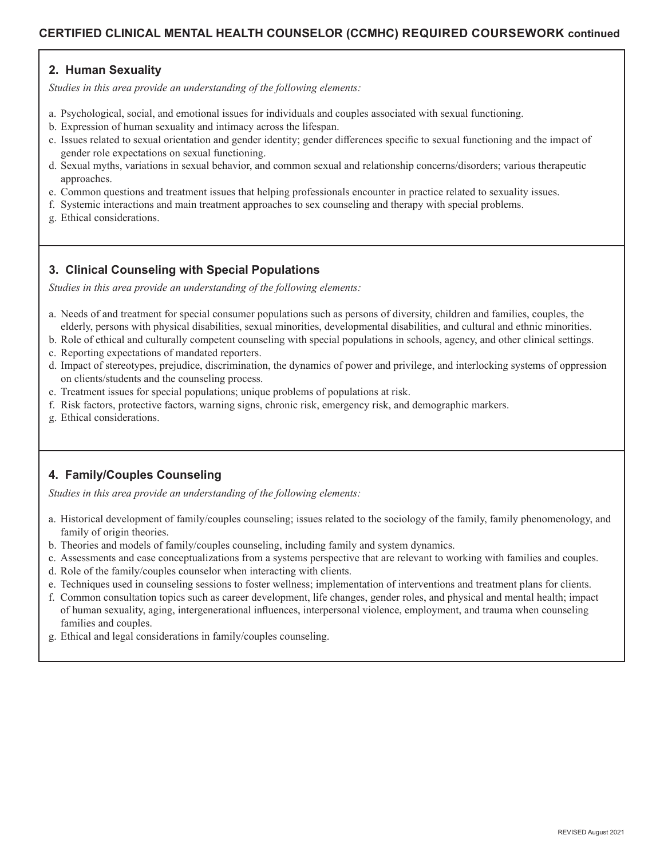#### **2. Human Sexuality**

*Studies in this area provide an understanding of the following elements:*

- a. Psychological, social, and emotional issues for individuals and couples associated with sexual functioning.
- b. Expression of human sexuality and intimacy across the lifespan.
- c. Issues related to sexual orientation and gender identity; gender differences specific to sexual functioning and the impact of gender role expectations on sexual functioning.
- d. Sexual myths, variations in sexual behavior, and common sexual and relationship concerns/disorders; various therapeutic approaches.
- e. Common questions and treatment issues that helping professionals encounter in practice related to sexuality issues.
- f. Systemic interactions and main treatment approaches to sex counseling and therapy with special problems.
- g. Ethical considerations.

#### **3. Clinical Counseling with Special Populations**

*Studies in this area provide an understanding of the following elements:*

- a. Needs of and treatment for special consumer populations such as persons of diversity, children and families, couples, the elderly, persons with physical disabilities, sexual minorities, developmental disabilities, and cultural and ethnic minorities.
- b. Role of ethical and culturally competent counseling with special populations in schools, agency, and other clinical settings.
- c. Reporting expectations of mandated reporters.
- d. Impact of stereotypes, prejudice, discrimination, the dynamics of power and privilege, and interlocking systems of oppression on clients/students and the counseling process.
- e. Treatment issues for special populations; unique problems of populations at risk.
- f. Risk factors, protective factors, warning signs, chronic risk, emergency risk, and demographic markers.
- g. Ethical considerations.

#### **4. Family/Couples Counseling**

*Studies in this area provide an understanding of the following elements:*

- a. Historical development of family/couples counseling; issues related to the sociology of the family, family phenomenology, and family of origin theories.
- b. Theories and models of family/couples counseling, including family and system dynamics.
- c. Assessments and case conceptualizations from a systems perspective that are relevant to working with families and couples.
- d. Role of the family/couples counselor when interacting with clients.
- e. Techniques used in counseling sessions to foster wellness; implementation of interventions and treatment plans for clients.
- f. Common consultation topics such as career development, life changes, gender roles, and physical and mental health; impact of human sexuality, aging, intergenerational influences, interpersonal violence, employment, and trauma when counseling families and couples.
- g. Ethical and legal considerations in family/couples counseling.